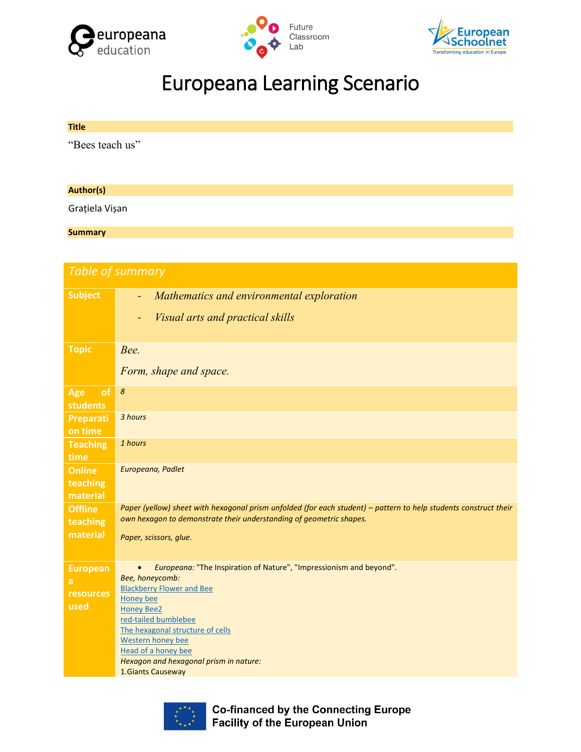





# Europeana Learning Scenario

| <b>Title</b>    |  |  |
|-----------------|--|--|
| "Bees teach us" |  |  |
|                 |  |  |

# **Author(s)**

Grațiela Vișan

# **Summary**

| Table of summary                          |                                                                                                                                                                                                                                                                                                                                                    |  |  |
|-------------------------------------------|----------------------------------------------------------------------------------------------------------------------------------------------------------------------------------------------------------------------------------------------------------------------------------------------------------------------------------------------------|--|--|
| <b>Subject</b>                            | Mathematics and environmental exploration<br>÷                                                                                                                                                                                                                                                                                                     |  |  |
|                                           | Visual arts and practical skills                                                                                                                                                                                                                                                                                                                   |  |  |
| <b>Topic</b>                              | Bee.                                                                                                                                                                                                                                                                                                                                               |  |  |
|                                           | Form, shape and space.                                                                                                                                                                                                                                                                                                                             |  |  |
| of<br>Age<br><b>students</b>              | 8                                                                                                                                                                                                                                                                                                                                                  |  |  |
| Preparati<br>on time                      | 3 hours                                                                                                                                                                                                                                                                                                                                            |  |  |
| <b>Teaching</b><br>time                   | 1 hours                                                                                                                                                                                                                                                                                                                                            |  |  |
| <b>Online</b><br>teaching<br>material     | Europeana, Padlet                                                                                                                                                                                                                                                                                                                                  |  |  |
| <b>Offline</b><br>teaching                | Paper (yellow) sheet with hexagonal prism unfolded (for each student) - pattern to help students construct their<br>own hexagon to demonstrate their understanding of geometric shapes.                                                                                                                                                            |  |  |
| material                                  | Paper, scissors, glue.                                                                                                                                                                                                                                                                                                                             |  |  |
| <b>European</b><br>a<br>resources<br>used | Europeana: "The Inspiration of Nature", "Impressionism and beyond".<br>Bee, honeycomb:<br><b>Blackberry Flower and Bee</b><br><b>Honey bee</b><br><b>Honey Bee2</b><br>red-tailed bumblebee<br>The hexagonal structure of cells<br>Western honey bee<br><b>Head of a honey bee</b><br>Hexagon and hexagonal prism in nature:<br>1. Giants Causeway |  |  |



**Co-financed by the Connecting Europe Facility of the European Union**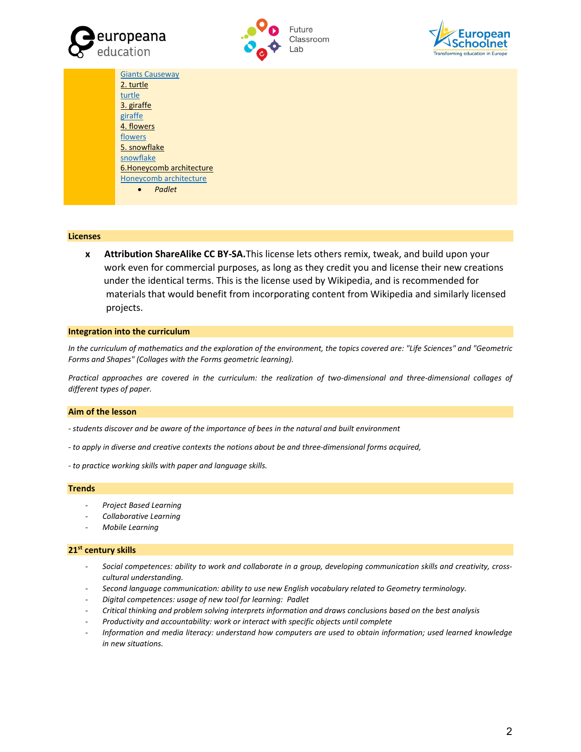





[Giants Causeway](https://www.europeana.eu/portal/ro/record/90402/RP_F_F00681_HK.html?q=Giant%27s+Causeway#dcId=1556215875198&p=4) 2. turtle [turtle](https://www.europeana.eu/portal/ro/record/9200579/mxp5k337.html?q=turtle#dcId=1550413602844&p=1) 3. giraffe [giraffe](https://www.europeana.eu/portal/ro/record/2058618/object_KUAS_22263849.html?q=giraffe#dcId=1550413602844&p=5) 4. flowers **[flowers](https://www.europeana.eu/portal/ro/record/11616/_OPENUP_ACCESSIONS_RBGE_UK_19570233.html?q=snowflakes#dcId=1550413602844&p=2)** 5. snowflake [snowflake](https://www.europeana.eu/portal/ro/record/9200579/hxwsw4sy.html?q=hexagonal+snowflake#dcId=1550413602844&p=1) 6.Honeycomb architecture [Honeycomb architecture](https://www.europeana.eu/portal/ro/record/2020108/https___www_culture_si_en_File_Ofis_Arhitekti_2007_Honeycomb_Apartments_JPG.html?q=honeycomb+architecture#dcId=1550413602844&p=1) • *Padlet*

#### **Licenses**

**x Attribution ShareAlike CC BY-SA.**This license lets others remix, tweak, and build upon your work even for commercial purposes, as long as they credit you and license their new creations under the identical terms. This is the license used by Wikipedia, and is recommended for materials that would benefit from incorporating content from Wikipedia and similarly licensed projects.

#### **Integration into the curriculum**

*In the curriculum of mathematics and the exploration of the environment, the topics covered are: "Life Sciences" and "Geometric Forms and Shapes" (Collages with the Forms geometric learning).*

*Practical approaches are covered in the curriculum: the realization of two-dimensional and three-dimensional collages of different types of paper.*

#### **Aim of the lesson**

- *- students discover and be aware of the importance of bees in the natural and built environment*
- *- to apply in diverse and creative contexts the notions about be and three-dimensional forms acquired,*
- *- to practice working skills with paper and language skills.*

#### **Trends**

- *Project Based Learning*
- *Collaborative Learning*
- *Mobile Learning*

#### **21st century skills**

- *Social competences: ability to work and collaborate in a group, developing communication skills and creativity, crosscultural understanding.*
- *Second language communication: ability to use new English vocabulary related to Geometry terminology.*
- *Digital competences: usage of new tool for learning: Padlet*
- *Critical thinking and problem solving interprets information and draws conclusions based on the best analysis*
- *Productivity and accountability: work or interact with specific objects until complete*
- *Information and media literacy: understand how computers are used to obtain information; used learned knowledge in new situations.*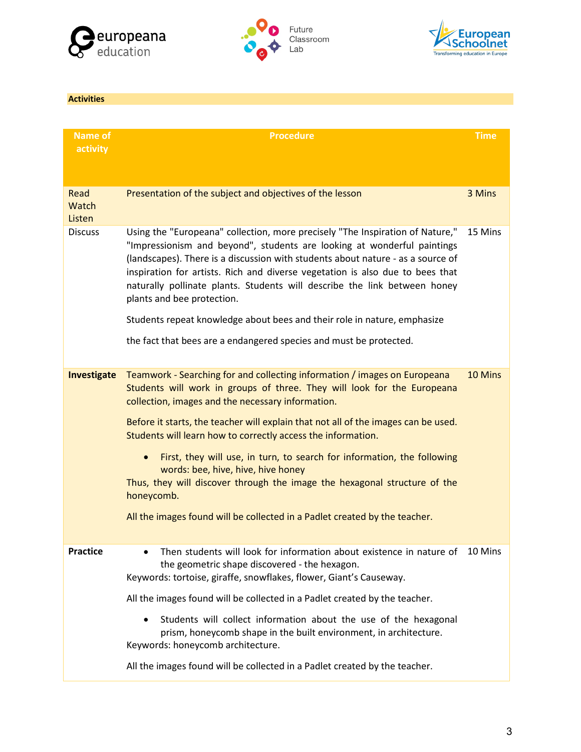





**Activities**

| <b>Name of</b><br>activity | <b>Procedure</b>                                                                                                                                                                                                                                                                                                                                                                                                                                                                                                                                                                                                                                          | <b>Time</b> |
|----------------------------|-----------------------------------------------------------------------------------------------------------------------------------------------------------------------------------------------------------------------------------------------------------------------------------------------------------------------------------------------------------------------------------------------------------------------------------------------------------------------------------------------------------------------------------------------------------------------------------------------------------------------------------------------------------|-------------|
| Read<br>Watch<br>Listen    | Presentation of the subject and objectives of the lesson                                                                                                                                                                                                                                                                                                                                                                                                                                                                                                                                                                                                  | 3 Mins      |
| <b>Discuss</b>             | Using the "Europeana" collection, more precisely "The Inspiration of Nature,"<br>"Impressionism and beyond", students are looking at wonderful paintings<br>(landscapes). There is a discussion with students about nature - as a source of<br>inspiration for artists. Rich and diverse vegetation is also due to bees that<br>naturally pollinate plants. Students will describe the link between honey<br>plants and bee protection.<br>Students repeat knowledge about bees and their role in nature, emphasize<br>the fact that bees are a endangered species and must be protected.                                                                 | 15 Mins     |
|                            |                                                                                                                                                                                                                                                                                                                                                                                                                                                                                                                                                                                                                                                           |             |
| Investigate                | Teamwork - Searching for and collecting information / images on Europeana<br>Students will work in groups of three. They will look for the Europeana<br>collection, images and the necessary information.<br>Before it starts, the teacher will explain that not all of the images can be used.<br>Students will learn how to correctly access the information.<br>First, they will use, in turn, to search for information, the following<br>words: bee, hive, hive, hive honey<br>Thus, they will discover through the image the hexagonal structure of the<br>honeycomb.<br>All the images found will be collected in a Padlet created by the teacher. | 10 Mins     |
| Practice                   | Then students will look for information about existence in nature of<br>the geometric shape discovered - the hexagon.<br>Keywords: tortoise, giraffe, snowflakes, flower, Giant's Causeway.<br>All the images found will be collected in a Padlet created by the teacher.<br>Students will collect information about the use of the hexagonal<br>prism, honeycomb shape in the built environment, in architecture.<br>Keywords: honeycomb architecture.<br>All the images found will be collected in a Padlet created by the teacher.                                                                                                                     | 10 Mins     |